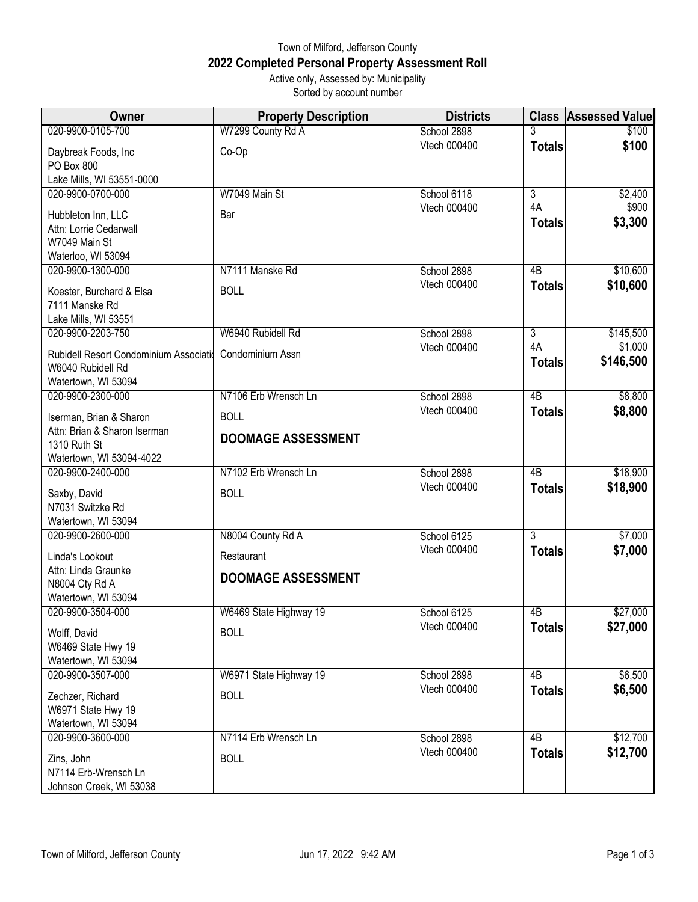## Town of Milford, Jefferson County **2022 Completed Personal Property Assessment Roll** Active only, Assessed by: Municipality

Sorted by account number

| <b>Owner</b>                                                | <b>Property Description</b> | <b>Districts</b>            | <b>Class</b>        | <b>Assessed Value</b> |
|-------------------------------------------------------------|-----------------------------|-----------------------------|---------------------|-----------------------|
| 020-9900-0105-700                                           | W7299 County Rd A           | School 2898                 |                     | \$100                 |
| Daybreak Foods, Inc<br>PO Box 800                           | Co-Op                       | Vtech 000400                | <b>Totals</b>       | \$100                 |
| Lake Mills, WI 53551-0000                                   |                             |                             |                     |                       |
| 020-9900-0700-000                                           | W7049 Main St               | School 6118                 | $\overline{3}$      | \$2,400               |
| Hubbleton Inn, LLC<br>Attn: Lorrie Cedarwall                | Bar                         | Vtech 000400                | 4A<br><b>Totals</b> | \$900<br>\$3,300      |
| W7049 Main St<br>Waterloo, WI 53094                         |                             |                             |                     |                       |
| 020-9900-1300-000                                           | N7111 Manske Rd             | School 2898                 | 4B                  | \$10,600              |
| Koester, Burchard & Elsa                                    | <b>BOLL</b>                 | Vtech 000400                | <b>Totals</b>       | \$10,600              |
| 7111 Manske Rd<br>Lake Mills, WI 53551                      |                             |                             |                     |                       |
| 020-9900-2203-750                                           | W6940 Rubidell Rd           | School 2898                 | $\overline{3}$      | \$145,500             |
|                                                             |                             | Vtech 000400                | 4A                  | \$1,000               |
| Rubidell Resort Condominium Associatid<br>W6040 Rubidell Rd | Condominium Assn            |                             | <b>Totals</b>       | \$146,500             |
| Watertown, WI 53094                                         |                             |                             |                     |                       |
| 020-9900-2300-000                                           | N7106 Erb Wrensch Ln        | School 2898                 | 4B                  | \$8,800               |
| Iserman, Brian & Sharon                                     | <b>BOLL</b>                 | Vtech 000400                | <b>Totals</b>       | \$8,800               |
| Attn: Brian & Sharon Iserman<br>1310 Ruth St                | <b>DOOMAGE ASSESSMENT</b>   |                             |                     |                       |
| Watertown, WI 53094-4022                                    |                             |                             |                     |                       |
| 020-9900-2400-000                                           | N7102 Erb Wrensch Ln        | School 2898                 | 4B                  | \$18,900              |
| Saxby, David                                                | <b>BOLL</b>                 | Vtech 000400                | <b>Totals</b>       | \$18,900              |
| N7031 Switzke Rd                                            |                             |                             |                     |                       |
| Watertown, WI 53094                                         |                             |                             |                     |                       |
| 020-9900-2600-000                                           | N8004 County Rd A           | School 6125                 | $\overline{3}$      | \$7,000               |
| Linda's Lookout                                             | Restaurant                  | Vtech 000400                | <b>Totals</b>       | \$7,000               |
| Attn: Linda Graunke<br>N8004 Cty Rd A                       | <b>DOOMAGE ASSESSMENT</b>   |                             |                     |                       |
| Watertown, WI 53094                                         |                             |                             |                     |                       |
| 020-9900-3504-000                                           | W6469 State Highway 19      | School 6125                 | 4B                  | \$27,000              |
| Wolff, David                                                | <b>BOLL</b>                 | Vtech 000400                | <b>Totals</b>       | \$27,000              |
| W6469 State Hwy 19                                          |                             |                             |                     |                       |
| Watertown, WI 53094                                         |                             |                             |                     |                       |
| 020-9900-3507-000                                           | W6971 State Highway 19      | School 2898<br>Vtech 000400 | 4B                  | \$6,500               |
| Zechzer, Richard                                            | <b>BOLL</b>                 |                             | <b>Totals</b>       | \$6,500               |
| W6971 State Hwy 19                                          |                             |                             |                     |                       |
| Watertown, WI 53094<br>020-9900-3600-000                    | N7114 Erb Wrensch Ln        |                             | 4B                  |                       |
|                                                             |                             | School 2898<br>Vtech 000400 | <b>Totals</b>       | \$12,700<br>\$12,700  |
| Zins, John                                                  | <b>BOLL</b>                 |                             |                     |                       |
| N7114 Erb-Wrensch Ln<br>Johnson Creek, WI 53038             |                             |                             |                     |                       |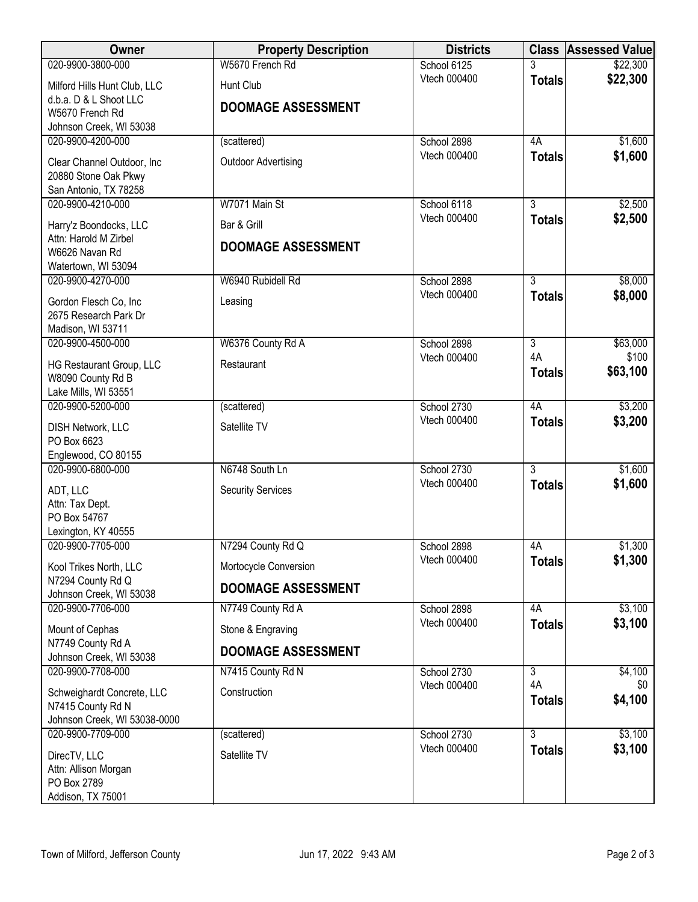| Owner                                           | <b>Property Description</b> | <b>Districts</b> |                | <b>Class Assessed Value</b> |
|-------------------------------------------------|-----------------------------|------------------|----------------|-----------------------------|
| 020-9900-3800-000                               | W5670 French Rd             | School 6125      | 3              | \$22,300                    |
| Milford Hills Hunt Club, LLC                    | Hunt Club                   | Vtech 000400     | <b>Totals</b>  | \$22,300                    |
| d.b.a. D & L Shoot LLC                          | <b>DOOMAGE ASSESSMENT</b>   |                  |                |                             |
| W5670 French Rd                                 |                             |                  |                |                             |
| Johnson Creek, WI 53038<br>020-9900-4200-000    | (scattered)                 | School 2898      | 4A             | \$1,600                     |
|                                                 |                             | Vtech 000400     | <b>Totals</b>  | \$1,600                     |
| Clear Channel Outdoor, Inc                      | <b>Outdoor Advertising</b>  |                  |                |                             |
| 20880 Stone Oak Pkwy<br>San Antonio, TX 78258   |                             |                  |                |                             |
| 020-9900-4210-000                               | W7071 Main St               | School 6118      | $\overline{3}$ | \$2,500                     |
| Harry'z Boondocks, LLC                          | Bar & Grill                 | Vtech 000400     | <b>Totals</b>  | \$2,500                     |
| Attn: Harold M Zirbel                           |                             |                  |                |                             |
| W6626 Navan Rd                                  | <b>DOOMAGE ASSESSMENT</b>   |                  |                |                             |
| Watertown, WI 53094                             |                             |                  |                |                             |
| 020-9900-4270-000                               | W6940 Rubidell Rd           | School 2898      | $\overline{3}$ | \$8,000                     |
| Gordon Flesch Co, Inc                           | Leasing                     | Vtech 000400     | <b>Totals</b>  | \$8,000                     |
| 2675 Research Park Dr                           |                             |                  |                |                             |
| Madison, WI 53711<br>020-9900-4500-000          | W6376 County Rd A           | School 2898      | $\overline{3}$ | \$63,000                    |
|                                                 |                             | Vtech 000400     | 4A             | \$100                       |
| HG Restaurant Group, LLC                        | Restaurant                  |                  | <b>Totals</b>  | \$63,100                    |
| W8090 County Rd B<br>Lake Mills, WI 53551       |                             |                  |                |                             |
| 020-9900-5200-000                               | (scattered)                 | School 2730      | 4A             | \$3,200                     |
| <b>DISH Network, LLC</b>                        | Satellite TV                | Vtech 000400     | <b>Totals</b>  | \$3,200                     |
| PO Box 6623                                     |                             |                  |                |                             |
| Englewood, CO 80155                             |                             |                  |                |                             |
| 020-9900-6800-000                               | N6748 South Ln              | School 2730      | $\overline{3}$ | \$1,600                     |
| ADT, LLC                                        | <b>Security Services</b>    | Vtech 000400     | <b>Totals</b>  | \$1,600                     |
| Attn: Tax Dept.                                 |                             |                  |                |                             |
| PO Box 54767                                    |                             |                  |                |                             |
| Lexington, KY 40555<br>020-9900-7705-000        | N7294 County Rd Q           | School 2898      | 4A             | \$1,300                     |
|                                                 |                             | Vtech 000400     | <b>Totals</b>  | \$1,300                     |
| Kool Trikes North, LLC<br>N7294 County Rd Q     | Mortocycle Conversion       |                  |                |                             |
| Johnson Creek, WI 53038                         | <b>DOOMAGE ASSESSMENT</b>   |                  |                |                             |
| 020-9900-7706-000                               | N7749 County Rd A           | School 2898      | 4A             | \$3,100                     |
| Mount of Cephas                                 | Stone & Engraving           | Vtech 000400     | <b>Totals</b>  | \$3,100                     |
| N7749 County Rd A                               | <b>DOOMAGE ASSESSMENT</b>   |                  |                |                             |
| Johnson Creek, WI 53038<br>020-9900-7708-000    | N7415 County Rd N           | School 2730      | $\overline{3}$ | \$4,100                     |
|                                                 |                             | Vtech 000400     | 4A             | \$0                         |
| Schweighardt Concrete, LLC<br>N7415 County Rd N | Construction                |                  | <b>Totals</b>  | \$4,100                     |
| Johnson Creek, WI 53038-0000                    |                             |                  |                |                             |
| 020-9900-7709-000                               | (scattered)                 | School 2730      | $\overline{3}$ | \$3,100                     |
| DirecTV, LLC                                    | Satellite TV                | Vtech 000400     | <b>Totals</b>  | \$3,100                     |
| Attn: Allison Morgan                            |                             |                  |                |                             |
| PO Box 2789                                     |                             |                  |                |                             |
| Addison, TX 75001                               |                             |                  |                |                             |